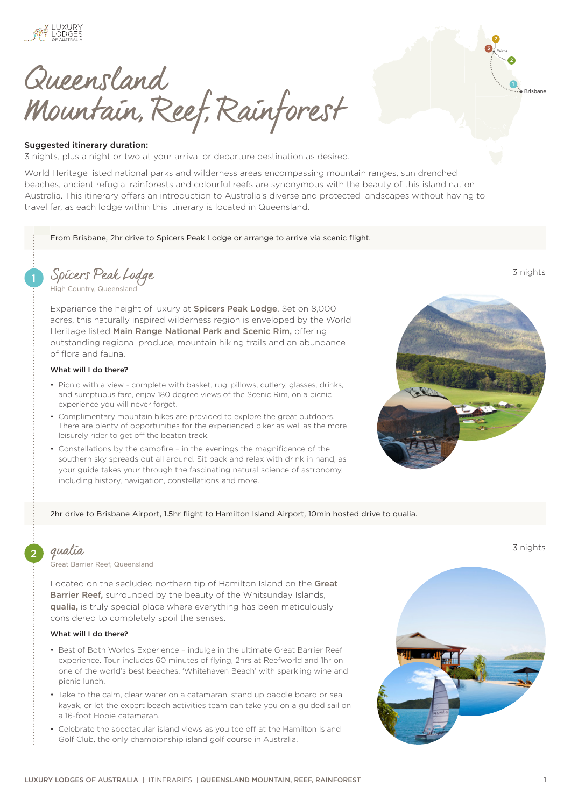

Queensland Mountain, Reef, Rainforest

### Suggested itinerary duration:

3 nights, plus a night or two at your arrival or departure destination as desired.

World Heritage listed national parks and wilderness areas encompassing mountain ranges, sun drenched beaches, ancient refugial rainforests and colourful reefs are synonymous with the beauty of this island nation Australia. This itinerary offers an introduction to Australia's diverse and protected landscapes without having to travel far, as each lodge within this itinerary is located in Queensland.

From Brisbane, 2hr drive to Spicers Peak Lodge or arrange to arrive via scenic flight.

1 [Spicers Peak Lodge](https://luxurylodgesofaustralia.com.au/lodges/spicerspeak/) 3 nights

[High Country, Queensland](https://luxurylodgesofaustralia.com.au/destinations/scenic-rim/)

Experience the height of luxury at [Spicers Peak Lodge](https://luxurylodgesofaustralia.com.au/lodges/spicerspeak/). Set on 8,000 acres, this naturally inspired wilderness region is enveloped by the World Heritage listed Main Range National Park and Scenic Rim, offering outstanding regional produce, mountain hiking trails and an abundance of flora and fauna.

### What will I do there?

- Picnic with a view complete with basket, rug, pillows, cutlery, glasses, drinks, and sumptuous fare, enjoy 180 degree views of the Scenic Rim, on a picnic experience you will never forget.
- Complimentary mountain bikes are provided to explore the great outdoors. There are plenty of opportunities for the experienced biker as well as the more leisurely rider to get off the beaten track.
- Constellations by the campfire in the evenings the magnificence of the southern sky spreads out all around. Sit back and relax with drink in hand, as your guide takes your through the fascinating natural science of astronomy, including history, navigation, constellations and more.



**3** Cairns 2

Brisbane

2

### 2hr drive to Brisbane Airport, 1.5hr flight to Hamilton Island Airport, 10min hosted drive to qualia.

.<br>[Great Barrier Reef, Queensland](https://luxurylodgesofaustralia.com.au/destinations/great-barrier-reef/)

Located on the secluded northern tip of Hamilton Island on the [Great](https://luxurylodgesofaustralia.com.au/destinations/great-barrier-reef/)  [Barrier Reef,](https://luxurylodgesofaustralia.com.au/destinations/great-barrier-reef/) surrounded by the beauty of the Whitsunday Islands, [qualia,](https://luxurylodgesofaustralia.com.au/lodges/qualia/) is truly special place where everything has been meticulously considered to completely spoil the senses.

# What will I do there?

- Best of Both Worlds Experience indulge in the ultimate Great Barrier Reef experience. Tour includes 60 minutes of flying, 2hrs at Reefworld and 1hr on one of the world's best beaches, 'Whitehaven Beach' with sparkling wine and picnic lunch.
- Take to the calm, clear water on a catamaran, stand up paddle board or sea kayak, or let the expert beach activities team can take you on a guided sail on a 16-foot Hobie catamaran.
- Celebrate the spectacular island views as you tee off at the Hamilton Island Golf Club, the only championship island golf course in Australia.